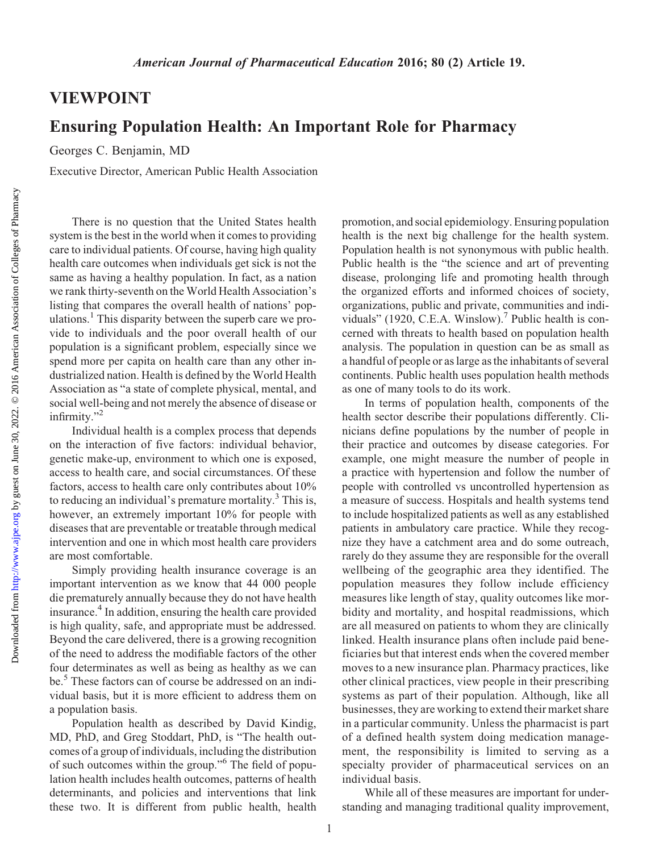## **VIEWPOINT** VIEWPOINT IN 1999.<br>Viewpoint in 1999

## Ensuring Population Health: An Important Role for Pharmacy

Georges C. Benjamin, MD

Executive Director, American Public Health Association

There is no question that the United States health system is the best in the world when it comes to providing care to individual patients. Of course, having high quality health care outcomes when individuals get sick is not the same as having a healthy population. In fact, as a nation we rank thirty-seventh on the World Health Association's listing that compares the overall health of nations' populations.<sup>1</sup> This disparity between the superb care we provide to individuals and the poor overall health of our population is a significant problem, especially since we spend more per capita on health care than any other industrialized nation. Health is defined by the World Health Association as "a state of complete physical, mental, and social well-being and not merely the absence of disease or infirmity. $"^{2}$ 

Individual health is a complex process that depends on the interaction of five factors: individual behavior, genetic make-up, environment to which one is exposed, access to health care, and social circumstances. Of these factors, access to health care only contributes about 10% to reducing an individual's premature mortality.<sup>3</sup> This is, however, an extremely important 10% for people with diseases that are preventable or treatable through medical intervention and one in which most health care providers are most comfortable.

Simply providing health insurance coverage is an important intervention as we know that 44 000 people die prematurely annually because they do not have health insurance.4 In addition, ensuring the health care provided is high quality, safe, and appropriate must be addressed. Beyond the care delivered, there is a growing recognition of the need to address the modifiable factors of the other four determinates as well as being as healthy as we can be.5 These factors can of course be addressed on an individual basis, but it is more efficient to address them on a population basis.

Population health as described by David Kindig, MD, PhD, and Greg Stoddart, PhD, is "The health outcomes of a group of individuals, including the distribution of such outcomes within the group."6 The field of population health includes health outcomes, patterns of health determinants, and policies and interventions that link these two. It is different from public health, health

promotion, and social epidemiology. Ensuring population health is the next big challenge for the health system. Population health is not synonymous with public health. Public health is the "the science and art of preventing disease, prolonging life and promoting health through the organized efforts and informed choices of society, organizations, public and private, communities and individuals" (1920, C.E.A. Winslow).7 Public health is concerned with threats to health based on population health analysis. The population in question can be as small as a handful of people or as large as the inhabitants of several continents. Public health uses population health methods as one of many tools to do its work.

In terms of population health, components of the health sector describe their populations differently. Clinicians define populations by the number of people in their practice and outcomes by disease categories. For example, one might measure the number of people in a practice with hypertension and follow the number of people with controlled vs uncontrolled hypertension as a measure of success. Hospitals and health systems tend to include hospitalized patients as well as any established patients in ambulatory care practice. While they recognize they have a catchment area and do some outreach, rarely do they assume they are responsible for the overall wellbeing of the geographic area they identified. The population measures they follow include efficiency measures like length of stay, quality outcomes like morbidity and mortality, and hospital readmissions, which are all measured on patients to whom they are clinically linked. Health insurance plans often include paid beneficiaries but that interest ends when the covered member moves to a new insurance plan. Pharmacy practices, like other clinical practices, view people in their prescribing systems as part of their population. Although, like all businesses, they are working to extend their market share in a particular community. Unless the pharmacist is part of a defined health system doing medication management, the responsibility is limited to serving as a specialty provider of pharmaceutical services on an individual basis.

While all of these measures are important for understanding and managing traditional quality improvement,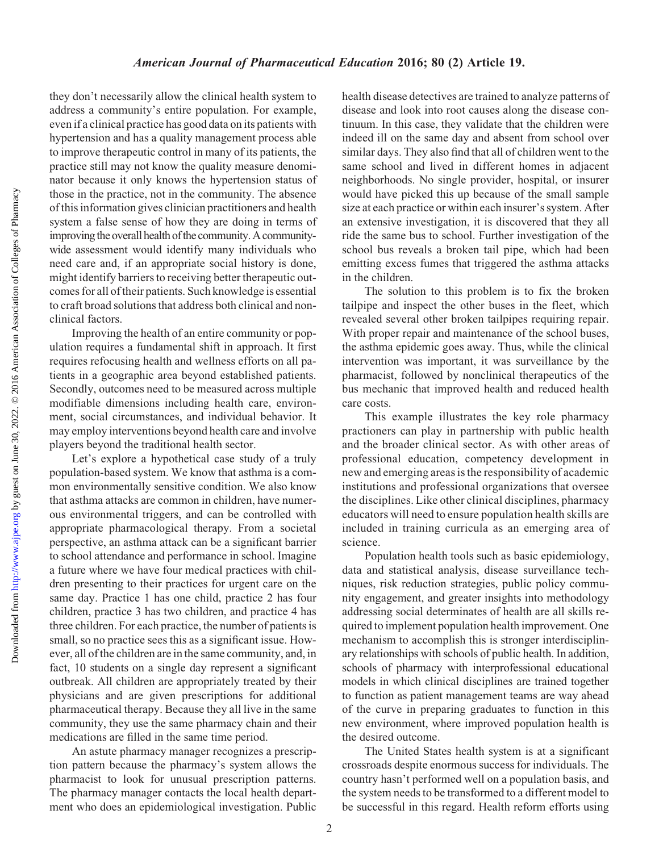they don't necessarily allow the clinical health system to address a community's entire population. For example, even if a clinical practice has good data on its patients with hypertension and has a quality management process able to improve therapeutic control in many of its patients, the practice still may not know the quality measure denominator because it only knows the hypertension status of those in the practice, not in the community. The absence of this information gives clinician practitioners and health system a false sense of how they are doing in terms of improving the overall health of the community. A communitywide assessment would identify many individuals who need care and, if an appropriate social history is done, might identify barriers to receiving better therapeutic outcomes for all of their patients. Such knowledge is essential to craft broad solutions that address both clinical and nonclinical factors.

Improving the health of an entire community or population requires a fundamental shift in approach. It first requires refocusing health and wellness efforts on all patients in a geographic area beyond established patients. Secondly, outcomes need to be measured across multiple modifiable dimensions including health care, environment, social circumstances, and individual behavior. It may employ interventions beyond health care and involve players beyond the traditional health sector.

Let's explore a hypothetical case study of a truly population-based system. We know that asthma is a common environmentally sensitive condition. We also know that asthma attacks are common in children, have numerous environmental triggers, and can be controlled with appropriate pharmacological therapy. From a societal perspective, an asthma attack can be a significant barrier to school attendance and performance in school. Imagine a future where we have four medical practices with children presenting to their practices for urgent care on the same day. Practice 1 has one child, practice 2 has four children, practice 3 has two children, and practice 4 has three children. For each practice, the number of patients is small, so no practice sees this as a significant issue. However, all of the children are in the same community, and, in fact, 10 students on a single day represent a significant outbreak. All children are appropriately treated by their physicians and are given prescriptions for additional pharmaceutical therapy. Because they all live in the same community, they use the same pharmacy chain and their medications are filled in the same time period.

An astute pharmacy manager recognizes a prescription pattern because the pharmacy's system allows the pharmacist to look for unusual prescription patterns. The pharmacy manager contacts the local health department who does an epidemiological investigation. Public health disease detectives are trained to analyze patterns of disease and look into root causes along the disease continuum. In this case, they validate that the children were indeed ill on the same day and absent from school over similar days. They also find that all of children went to the same school and lived in different homes in adjacent neighborhoods. No single provider, hospital, or insurer would have picked this up because of the small sample size at each practice or within each insurer's system. After an extensive investigation, it is discovered that they all ride the same bus to school. Further investigation of the school bus reveals a broken tail pipe, which had been emitting excess fumes that triggered the asthma attacks in the children.

The solution to this problem is to fix the broken tailpipe and inspect the other buses in the fleet, which revealed several other broken tailpipes requiring repair. With proper repair and maintenance of the school buses, the asthma epidemic goes away. Thus, while the clinical intervention was important, it was surveillance by the pharmacist, followed by nonclinical therapeutics of the bus mechanic that improved health and reduced health care costs.

This example illustrates the key role pharmacy practioners can play in partnership with public health and the broader clinical sector. As with other areas of professional education, competency development in new and emerging areas is the responsibility of academic institutions and professional organizations that oversee the disciplines. Like other clinical disciplines, pharmacy educators will need to ensure population health skills are included in training curricula as an emerging area of science.

Population health tools such as basic epidemiology, data and statistical analysis, disease surveillance techniques, risk reduction strategies, public policy community engagement, and greater insights into methodology addressing social determinates of health are all skills required to implement population health improvement. One mechanism to accomplish this is stronger interdisciplinary relationships with schools of public health. In addition, schools of pharmacy with interprofessional educational models in which clinical disciplines are trained together to function as patient management teams are way ahead of the curve in preparing graduates to function in this new environment, where improved population health is the desired outcome.

The United States health system is at a significant crossroads despite enormous success for individuals. The country hasn't performed well on a population basis, and the system needs to be transformed to a different model to be successful in this regard. Health reform efforts using